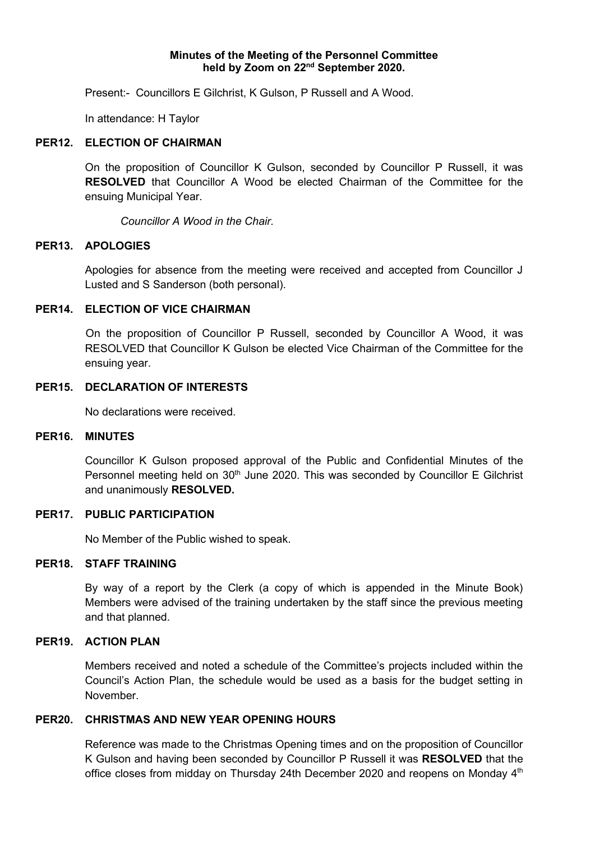### **Minutes of the Meeting of the Personnel Committee held by Zoom on 22nd September 2020.**

Present:- Councillors E Gilchrist, K Gulson, P Russell and A Wood.

In attendance: H Taylor

### **PER12. ELECTION OF CHAIRMAN**

On the proposition of Councillor K Gulson, seconded by Councillor P Russell, it was **RESOLVED** that Councillor A Wood be elected Chairman of the Committee for the ensuing Municipal Year.

*Councillor A Wood in the Chair.*

#### **PER13. APOLOGIES**

Apologies for absence from the meeting were received and accepted from Councillor J Lusted and S Sanderson (both personal).

## **PER14. ELECTION OF VICE CHAIRMAN**

On the proposition of Councillor P Russell, seconded by Councillor A Wood, it was RESOLVED that Councillor K Gulson be elected Vice Chairman of the Committee for the ensuing year.

# **PER15. DECLARATION OF INTERESTS**

No declarations were received.

#### **PER16. MINUTES**

Councillor K Gulson proposed approval of the Public and Confidential Minutes of the Personnel meeting held on  $30<sup>th</sup>$  June 2020. This was seconded by Councillor E Gilchrist and unanimously **RESOLVED.**

## **PER17. PUBLIC PARTICIPATION**

No Member of the Public wished to speak.

#### **PER18. STAFF TRAINING**

By way of a report by the Clerk (a copy of which is appended in the Minute Book) Members were advised of the training undertaken by the staff since the previous meeting and that planned.

## **PER19. ACTION PLAN**

Members received and noted a schedule of the Committee's projects included within the Council's Action Plan, the schedule would be used as a basis for the budget setting in November.

## **PER20. CHRISTMAS AND NEW YEAR OPENING HOURS**

Reference was made to the Christmas Opening times and on the proposition of Councillor K Gulson and having been seconded by Councillor P Russell it was **RESOLVED** that the office closes from midday on Thursday 24th December 2020 and reopens on Monday 4<sup>th</sup>